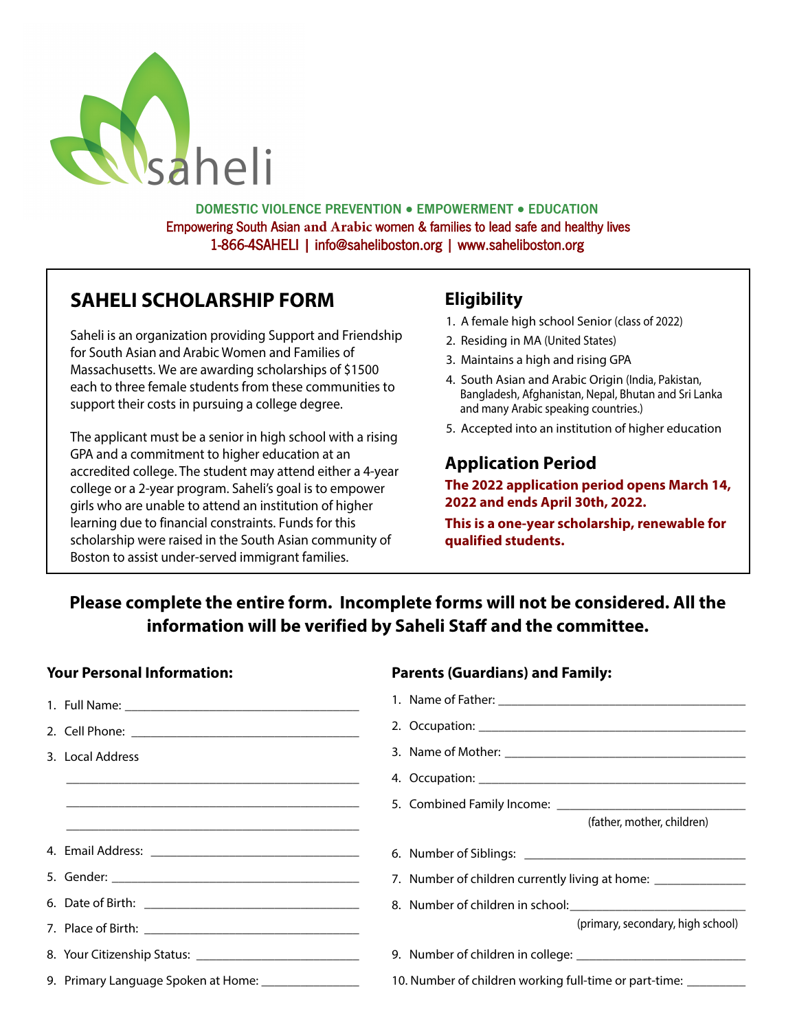

DOMESTIC VIOLENCE PREVENTION ● EMPOWERMENT ● EDUCATION Empowering South Asian **and Arabic** women & families to lead safe and healthy lives 1-866-4SAHELI | info@saheliboston.org | www.saheliboston.org

# **SAHELI SCHOLARSHIP FORM**

Saheli is an organization providing Support and Friendship for South Asian and Arabic Women and Families of Massachusetts. We are awarding scholarships of \$1500 each to three female students from these communities to support their costs in pursuing a college degree.

The applicant must be a senior in high school with a rising GPA and a commitment to higher education at an accredited college. The student may attend either a 4-year college or a 2-year program. Saheli's goal is to empower girls who are unable to attend an institution of higher learning due to financial constraints. Funds for this scholarship were raised in the South Asian community of Boston to assist under-served immigrant families.

## **Eligibility**

- 1. A female high school Senior (class of 2022)
- 2. Residing in MA (United States)
- 3. Maintains a high and rising GPA
- 4. South Asian and Arabic Origin (India, Pakistan, Bangladesh, Afghanistan, Nepal, Bhutan and Sri Lanka and many Arabic speaking countries.)
- 5. Accepted into an institution of higher education

## **Application Period**

**The 2022 application period opens March 14, 2022 and ends April 30th, 2022.** 

**This is a one-year scholarship, renewable for qualified students.**

# **Please complete the entire form. Incomplete forms will not be considered. All the**  information will be verified by Saheli Staff and the committee.

## **Your Personal Information:**

| 3. Local Address                                     |                                                                 |
|------------------------------------------------------|-----------------------------------------------------------------|
|                                                      |                                                                 |
|                                                      |                                                                 |
|                                                      | (father, mother, children)                                      |
|                                                      |                                                                 |
|                                                      | 7. Number of children currently living at home: _______________ |
|                                                      |                                                                 |
|                                                      | (primary, secondary, high school)                               |
|                                                      |                                                                 |
| 9. Primary Language Spoken at Home: ________________ | 10. Number of children working full-time or part-time:          |

#### **Parents (Guardians) and Family:**